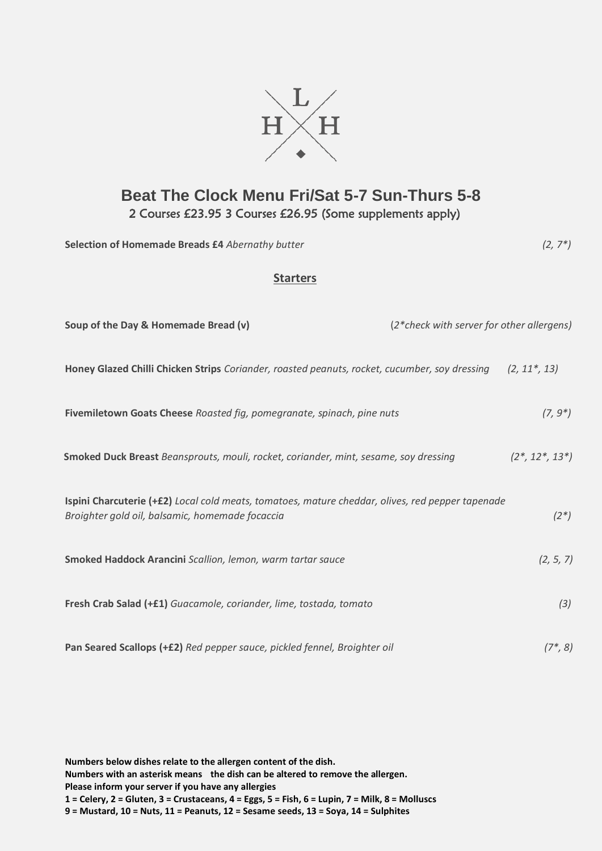

## **Beat The Clock Menu Fri/Sat 5-7 Sun-Thurs 5-8** 2 Courses £23.95 3 Courses £26.95 (Some supplements apply)

**Selection of Homemade Breads £4** *Abernathy butter (2, 7\*)*

## **Starters**

| (2*check with server for other allergens)<br>Soup of the Day & Homemade Bread (v)                                                                   |  |                     |
|-----------------------------------------------------------------------------------------------------------------------------------------------------|--|---------------------|
| Honey Glazed Chilli Chicken Strips Coriander, roasted peanuts, rocket, cucumber, soy dressing                                                       |  | $(2, 11^*, 13)$     |
| Fivemiletown Goats Cheese Roasted fig, pomegranate, spinach, pine nuts                                                                              |  | $(7, 9^*)$          |
| Smoked Duck Breast Beansprouts, mouli, rocket, coriander, mint, sesame, soy dressing                                                                |  | $(2^*, 12^*, 13^*)$ |
| Ispini Charcuterie (+£2) Local cold meats, tomatoes, mature cheddar, olives, red pepper tapenade<br>Broighter gold oil, balsamic, homemade focaccia |  | $(2^*)$             |
| Smoked Haddock Arancini Scallion, lemon, warm tartar sauce                                                                                          |  | (2, 5, 7)           |
| Fresh Crab Salad (+£1) Guacamole, coriander, lime, tostada, tomato                                                                                  |  | (3)                 |
| Pan Seared Scallops (+£2) Red pepper sauce, pickled fennel, Broighter oil                                                                           |  | $(7^*, 8)$          |

**Numbers below dishes relate to the allergen content of the dish.** 

**Numbers with an asterisk means the dish can be altered to remove the allergen.** 

**Please inform your server if you have any allergies**

**1 = Celery, 2 = Gluten, 3 = Crustaceans, 4 = Eggs, 5 = Fish, 6 = Lupin, 7 = Milk, 8 = Molluscs 9 = Mustard, 10 = Nuts, 11 = Peanuts, 12 = Sesame seeds, 13 = Soya, 14 = Sulphites**